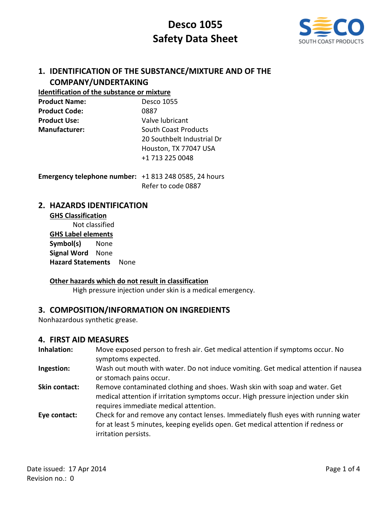

# **1. IDENTIFICATION OF THE SUBSTANCE/MIXTURE AND OF THE COMPANY/UNDERTAKING**

### **Identification of the substance or mixture**

| <b>Product Name:</b> | Desco 1055                  |
|----------------------|-----------------------------|
| <b>Product Code:</b> | 0887                        |
| <b>Product Use:</b>  | Valve lubricant             |
| Manufacturer:        | <b>South Coast Products</b> |
|                      | 20 Southbelt Industrial Dr  |
|                      | Houston, TX 77047 USA       |
|                      | +1 713 225 0048             |

**Emergency telephone number:** +1 813 248 0585, 24 hours Refer to code 0887

## **2. HAZARDS IDENTIFICATION**

### **GHS Classification** Not classified **GHS Label elements Symbol(s)** None **Signal Word** None **Hazard Statements** None

### **Other hazards which do not result in classification**

High pressure injection under skin is a medical emergency.

# **3. COMPOSITION/INFORMATION ON INGREDIENTS**

Nonhazardous synthetic grease.

### **4. FIRST AID MEASURES**

- **Inhalation:** Move exposed person to fresh air. Get medical attention if symptoms occur. No symptoms expected.
- **Ingestion:** Wash out mouth with water. Do not induce vomiting. Get medical attention if nausea or stomach pains occur.
- **Skin contact:** Remove contaminated clothing and shoes. Wash skin with soap and water. Get medical attention if irritation symptoms occur. High pressure injection under skin requires immediate medical attention.
- **Eye contact:** Check for and remove any contact lenses. Immediately flush eyes with running water for at least 5 minutes, keeping eyelids open. Get medical attention if redness or irritation persists.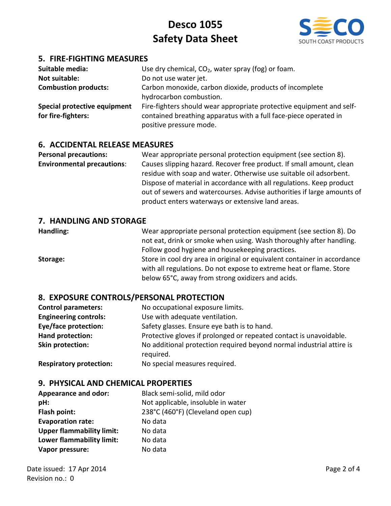

# **5. FIRE-FIGHTING MEASURES**

| Suitable media:<br><b>Not suitable:</b><br><b>Combustion products:</b> | Use dry chemical, $CO2$ , water spray (fog) or foam.<br>Do not use water jet.<br>Carbon monoxide, carbon dioxide, products of incomplete<br>hydrocarbon combustion. |
|------------------------------------------------------------------------|---------------------------------------------------------------------------------------------------------------------------------------------------------------------|
| Special protective equipment<br>for fire-fighters:                     | Fire-fighters should wear appropriate protective equipment and self-<br>contained breathing apparatus with a full face-piece operated in<br>positive pressure mode. |

### **6. ACCIDENTAL RELEASE MEASURES**

**Personal precautions:** Wear appropriate personal protection equipment (see section 8). **Environmental precautions**: Causes slipping hazard. Recover free product. If small amount, clean residue with soap and water. Otherwise use suitable oil adsorbent. Dispose of material in accordance with all regulations. Keep product out of sewers and watercourses. Advise authorities if large amounts of product enters waterways or extensive land areas.

### **7. HANDLING AND STORAGE**

**Handling:** Wear appropriate personal protection equipment (see section 8). Do not eat, drink or smoke when using. Wash thoroughly after handling. Follow good hygiene and housekeeping practices. **Storage:** Store in cool dry area in original or equivalent container in accordance with all regulations. Do not expose to extreme heat or flame. Store below 65°C, away from strong oxidizers and acids.

### **8. EXPOSURE CONTROLS/PERSONAL PROTECTION**

| <b>Control parameters:</b>   | No occupational exposure limits.                                                  |
|------------------------------|-----------------------------------------------------------------------------------|
| <b>Engineering controls:</b> | Use with adequate ventilation.                                                    |
| <b>Eye/face protection:</b>  | Safety glasses. Ensure eye bath is to hand.                                       |
| Hand protection:             | Protective gloves if prolonged or repeated contact is unavoidable.                |
| Skin protection:             | No additional protection required beyond normal industrial attire is<br>required. |

**Respiratory protection:** No special measures required.

### **9. PHYSICAL AND CHEMICAL PROPERTIES**

| <b>Appearance and odor:</b>      | Black semi-solid, mild odor        |
|----------------------------------|------------------------------------|
| pH:                              | Not applicable, insoluble in water |
| Flash point:                     | 238°C (460°F) (Cleveland open cup) |
| <b>Evaporation rate:</b>         | No data                            |
| <b>Upper flammability limit:</b> | No data                            |
| Lower flammability limit:        | No data                            |
| Vapor pressure:                  | No data                            |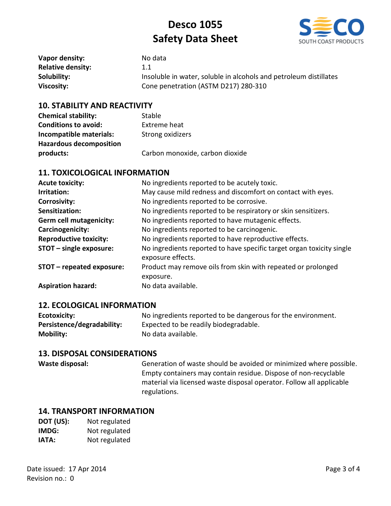

| Vapor density:           | No data                                                           |
|--------------------------|-------------------------------------------------------------------|
| <b>Relative density:</b> | 1.1                                                               |
| Solubility:              | Insoluble in water, soluble in alcohols and petroleum distillates |
| Viscosity:               | Cone penetration (ASTM D217) 280-310                              |

### **10. STABILITY AND REACTIVITY**

| <b>Chemical stability:</b>     | Stable                          |
|--------------------------------|---------------------------------|
| <b>Conditions to avoid:</b>    | Extreme heat                    |
| Incompatible materials:        | Strong oxidizers                |
| <b>Hazardous decomposition</b> |                                 |
| products:                      | Carbon monoxide, carbon dioxide |

# **11. TOXICOLOGICAL INFORMATION**

| <b>Acute toxicity:</b>         | No ingredients reported to be acutely toxic.                                               |
|--------------------------------|--------------------------------------------------------------------------------------------|
| Irritation:                    | May cause mild redness and discomfort on contact with eyes.                                |
| <b>Corrosivity:</b>            | No ingredients reported to be corrosive.                                                   |
| Sensitization:                 | No ingredients reported to be respiratory or skin sensitizers.                             |
| <b>Germ cell mutagenicity:</b> | No ingredients reported to have mutagenic effects.                                         |
| Carcinogenicity:               | No ingredients reported to be carcinogenic.                                                |
| <b>Reproductive toxicity:</b>  | No ingredients reported to have reproductive effects.                                      |
| STOT - single exposure:        | No ingredients reported to have specific target organ toxicity single<br>exposure effects. |
| STOT - repeated exposure:      | Product may remove oils from skin with repeated or prolonged<br>exposure.                  |
| <b>Aspiration hazard:</b>      | No data available.                                                                         |

### **12. ECOLOGICAL INFORMATION**

| Ecotoxicity:               | No ingredients reported to be dangerous for the environment. |
|----------------------------|--------------------------------------------------------------|
| Persistence/degradability: | Expected to be readily biodegradable.                        |
| <b>Mobility:</b>           | No data available.                                           |

## **13. DISPOSAL CONSIDERATIONS**

| Waste disposal: | Generation of waste should be avoided or minimized where possible.   |
|-----------------|----------------------------------------------------------------------|
|                 | Empty containers may contain residue. Dispose of non-recyclable      |
|                 | material via licensed waste disposal operator. Follow all applicable |
|                 | regulations.                                                         |

### **14. TRANSPORT INFORMATION**

| DOT (US): | Not regulated |
|-----------|---------------|
| IMDG:     | Not regulated |
| IATA:     | Not regulated |